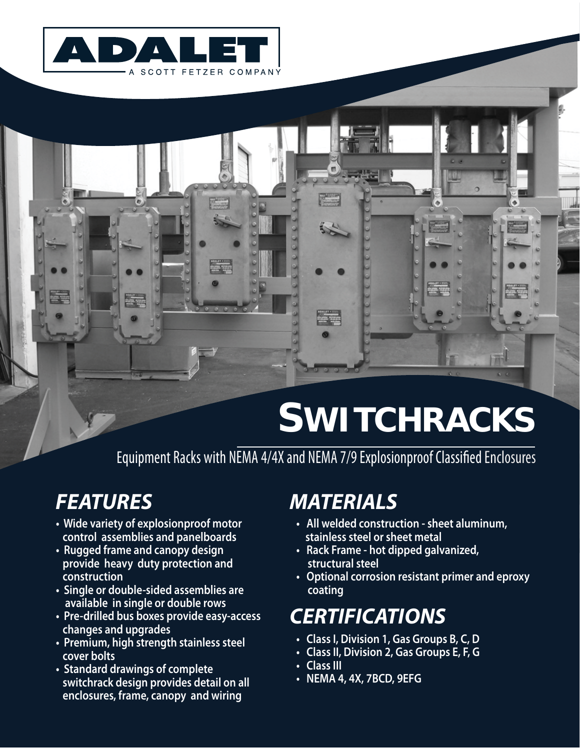

# **SWITCHRACKS**

Equipment Racks with NEMA 4/4X and NEMA 7/9 Explosionproof Classified Enclosures

# *FEATURES*

- **Wide variety of explosionproof motor control assemblies and panelboards**
- **Rugged frame and canopy design provide heavy duty protection and construction**
- **Single or double-sided assemblies are available in single or double rows**
- **Pre-drilled bus boxes provide easy-access changes and upgrades**
- **Premium, high strength stainless steel cover bolts**
- **Standard drawings of complete switchrack design provides detail on all enclosures, frame, canopy and wiring**

### *MATERIALS*

- **All welded construction sheet aluminum, stainless steel or sheet metal**
- **Rack Frame hot dipped galvanized, structural steel**
- **Optional corrosion resistant primer and eproxy coating**

# *CERTIFICATIONS*

- **Class I, Division 1, Gas Groups B, C, D**
- **Class II, Division 2, Gas Groups E, F, G**
- **Class III**
- **NEMA 4, 4X, 7BCD, 9EFG**